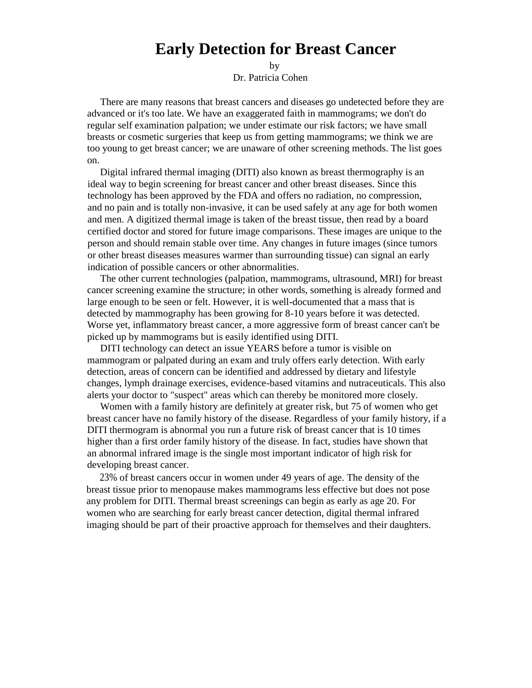## **Early Detection for Breast Cancer**

by

Dr. Patricia Cohen

There are many reasons that breast cancers and diseases go undetected before they are advanced or it's too late. We have an exaggerated faith in mammograms; we don't do regular self examination palpation; we under estimate our risk factors; we have small breasts or cosmetic surgeries that keep us from getting mammograms; we think we are too young to get breast cancer; we are unaware of other screening methods. The list goes on.

Digital infrared thermal imaging (DITI) also known as breast thermography is an ideal way to begin screening for breast cancer and other breast diseases. Since this technology has been approved by the FDA and offers no radiation, no compression, and no pain and is totally non-invasive, it can be used safely at any age for both women and men. A digitized thermal image is taken of the breast tissue, then read by a board certified doctor and stored for future image comparisons. These images are unique to the person and should remain stable over time. Any changes in future images (since tumors or other breast diseases measures warmer than surrounding tissue) can signal an early indication of possible cancers or other abnormalities.

The other current technologies (palpation, mammograms, ultrasound, MRI) for breast cancer screening examine the structure; in other words, something is already formed and large enough to be seen or felt. However, it is well-documented that a mass that is detected by mammography has been growing for 8-10 years before it was detected. Worse yet, inflammatory breast cancer, a more aggressive form of breast cancer can't be picked up by mammograms but is easily identified using DITI.

DITI technology can detect an issue YEARS before a tumor is visible on mammogram or palpated during an exam and truly offers early detection. With early detection, areas of concern can be identified and addressed by dietary and lifestyle changes, lymph drainage exercises, evidence-based vitamins and nutraceuticals. This also alerts your doctor to "suspect" areas which can thereby be monitored more closely.

Women with a family history are definitely at greater risk, but 75 of women who get breast cancer have no family history of the disease. Regardless of your family history, if a DITI thermogram is abnormal you run a future risk of breast cancer that is 10 times higher than a first order family history of the disease. In fact, studies have shown that an abnormal infrared image is the single most important indicator of high risk for developing breast cancer.

23% of breast cancers occur in women under 49 years of age. The density of the breast tissue prior to menopause makes mammograms less effective but does not pose any problem for DITI. Thermal breast screenings can begin as early as age 20. For women who are searching for early breast cancer detection, digital thermal infrared imaging should be part of their proactive approach for themselves and their daughters.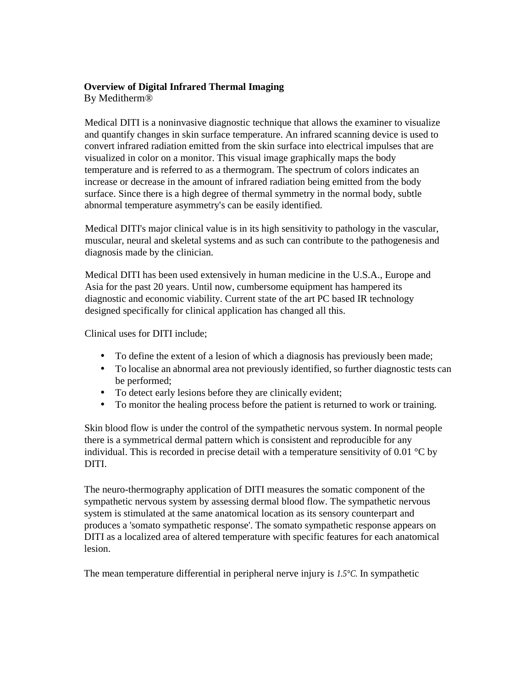## **Overview of Digital Infrared Thermal Imaging**

By Meditherm®

Medical DITI is a noninvasive diagnostic technique that allows the examiner to visualize and quantify changes in skin surface temperature. An infrared scanning device is used to convert infrared radiation emitted from the skin surface into electrical impulses that are visualized in color on a monitor. This visual image graphically maps the body temperature and is referred to as a thermogram. The spectrum of colors indicates an increase or decrease in the amount of infrared radiation being emitted from the body surface. Since there is a high degree of thermal symmetry in the normal body, subtle abnormal temperature asymmetry's can be easily identified.

Medical DITI's major clinical value is in its high sensitivity to pathology in the vascular, muscular, neural and skeletal systems and as such can contribute to the pathogenesis and diagnosis made by the clinician.

Medical DITI has been used extensively in human medicine in the U.S.A., Europe and Asia for the past 20 years. Until now, cumbersome equipment has hampered its diagnostic and economic viability. Current state of the art PC based IR technology designed specifically for clinical application has changed all this.

Clinical uses for DITI include;

- To define the extent of a lesion of which a diagnosis has previously been made;
- To localise an abnormal area not previously identified, so further diagnostic tests can be performed;
- To detect early lesions before they are clinically evident;
- To monitor the healing process before the patient is returned to work or training.

Skin blood flow is under the control of the sympathetic nervous system. In normal people there is a symmetrical dermal pattern which is consistent and reproducible for any individual. This is recorded in precise detail with a temperature sensitivity of 0.01  $^{\circ}$ C by DITI.

The neuro-thermography application of DITI measures the somatic component of the sympathetic nervous system by assessing dermal blood flow. The sympathetic nervous system is stimulated at the same anatomical location as its sensory counterpart and produces a 'somato sympathetic response'. The somato sympathetic response appears on DITI as a localized area of altered temperature with specific features for each anatomical lesion.

The mean temperature differential in peripheral nerve injury is *1.5°C.* In sympathetic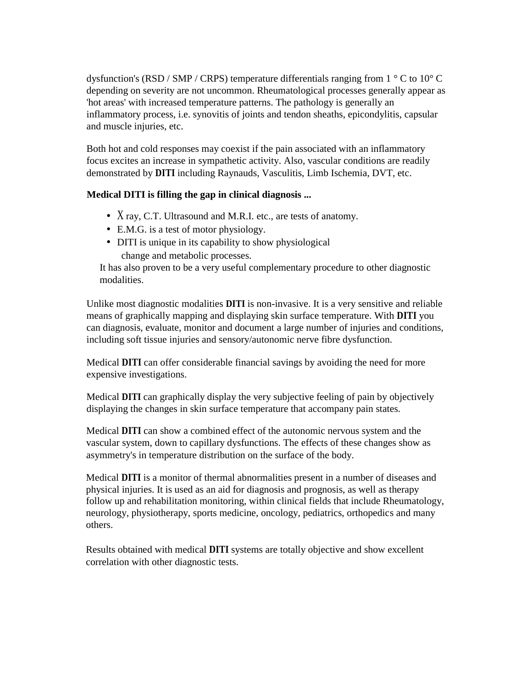dysfunction's (RSD / SMP / CRPS) temperature differentials ranging from  $1 \degree$ C to  $10 \degree$ C depending on severity are not uncommon. Rheumatological processes generally appear as 'hot areas' with increased temperature patterns. The pathology is generally an inflammatory process, i.e. synovitis of joints and tendon sheaths, epicondylitis, capsular and muscle injuries, etc.

Both hot and cold responses may coexist if the pain associated with an inflammatory focus excites an increase in sympathetic activity. Also, vascular conditions are readily demonstrated by **DITI** including Raynauds, Vasculitis, Limb Ischemia, DVT, etc.

## **Medical DITI is filling the gap in clinical diagnosis ...**

- X ray, C.T. Ultrasound and M.R.I. etc., are tests of anatomy.
- E.M.G. is a test of motor physiology.
- DITI is unique in its capability to show physiological change and metabolic processes.

It has also proven to be a very useful complementary procedure to other diagnostic modalities.

Unlike most diagnostic modalities **DITI** is non-invasive. It is a very sensitive and reliable means of graphically mapping and displaying skin surface temperature. With **DITI** you can diagnosis, evaluate, monitor and document a large number of injuries and conditions, including soft tissue injuries and sensory/autonomic nerve fibre dysfunction.

Medical **DITI** can offer considerable financial savings by avoiding the need for more expensive investigations.

Medical **DITI** can graphically display the very subjective feeling of pain by objectively displaying the changes in skin surface temperature that accompany pain states.

Medical **DITI** can show a combined effect of the autonomic nervous system and the vascular system, down to capillary dysfunctions. The effects of these changes show as asymmetry's in temperature distribution on the surface of the body.

Medical **DITI** is a monitor of thermal abnormalities present in a number of diseases and physical injuries. It is used as an aid for diagnosis and prognosis, as well as therapy follow up and rehabilitation monitoring, within clinical fields that include Rheumatology, neurology, physiotherapy, sports medicine, oncology, pediatrics, orthopedics and many others.

Results obtained with medical **DITI** systems are totally objective and show excellent correlation with other diagnostic tests.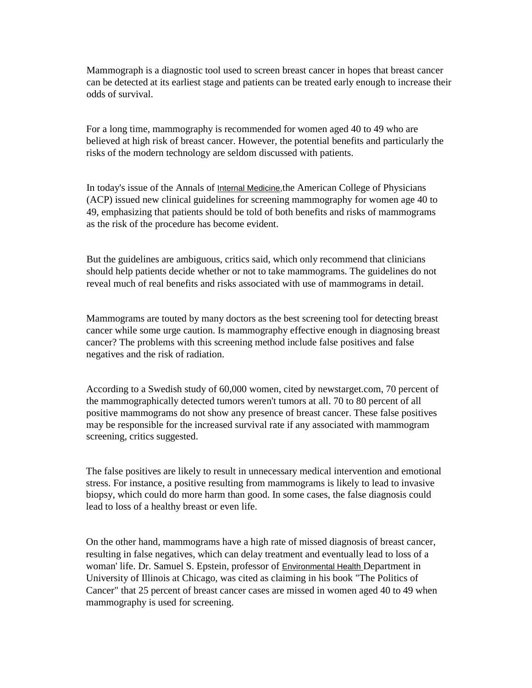Mammograph is a diagnostic tool used to screen breast cancer in hopes that breast cancer can be detected at its earliest stage and patients can be treated early enough to increase their odds of survival.

For a long time, mammography is recommended for women aged 40 to 49 who are believed at high risk of breast cancer. However, the potential benefits and particularly the risks of the modern technology are seldom discussed with patients.

In today's issue of the Annals of Internal Medicine,the American College of Physicians (ACP) issued new clinical guidelines for screening mammography for women age 40 to 49, emphasizing that patients should be told of both benefits and risks of mammograms as the risk of the procedure has become evident.

But the guidelines are ambiguous, critics said, which only recommend that clinicians should help patients decide whether or not to take mammograms. The guidelines do not reveal much of real benefits and risks associated with use of mammograms in detail.

Mammograms are touted by many doctors as the best screening tool for detecting breast cancer while some urge caution. Is mammography effective enough in diagnosing breast cancer? The problems with this screening method include false positives and false negatives and the risk of radiation.

According to a Swedish study of 60,000 women, cited by newstarget.com, 70 percent of the mammographically detected tumors weren't tumors at all. 70 to 80 percent of all positive mammograms do not show any presence of breast cancer. These false positives may be responsible for the increased survival rate if any associated with mammogram screening, critics suggested.

The false positives are likely to result in unnecessary medical intervention and emotional stress. For instance, a positive resulting from mammograms is likely to lead to invasive biopsy, which could do more harm than good. In some cases, the false diagnosis could lead to loss of a healthy breast or even life.

On the other hand, mammograms have a high rate of missed diagnosis of breast cancer, resulting in false negatives, which can delay treatment and eventually lead to loss of a woman' life. Dr. Samuel S. Epstein, professor of Environmental Health Department in University of Illinois at Chicago, was cited as claiming in his book "The Politics of Cancer" that 25 percent of breast cancer cases are missed in women aged 40 to 49 when mammography is used for screening.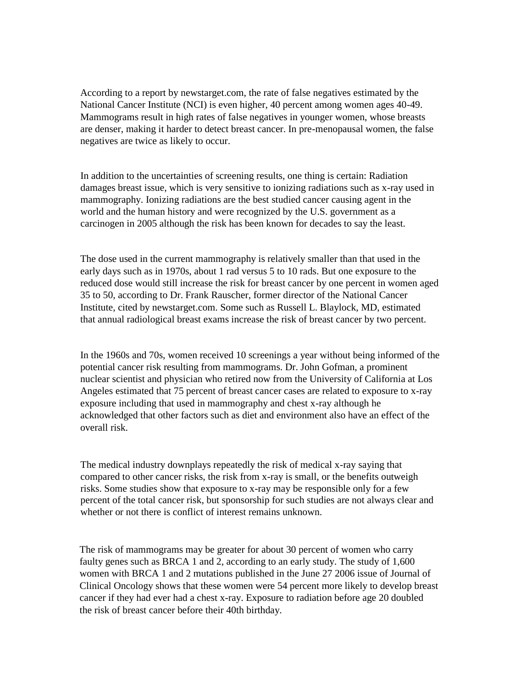According to a report by newstarget.com, the rate of false negatives estimated by the National Cancer Institute (NCI) is even higher, 40 percent among women ages 40-49. Mammograms result in high rates of false negatives in younger women, whose breasts are denser, making it harder to detect breast cancer. In pre-menopausal women, the false negatives are twice as likely to occur.

In addition to the uncertainties of screening results, one thing is certain: Radiation damages breast issue, which is very sensitive to ionizing radiations such as x-ray used in mammography. Ionizing radiations are the best studied cancer causing agent in the world and the human history and were recognized by the U.S. government as a carcinogen in 2005 although the risk has been known for decades to say the least.

The dose used in the current mammography is relatively smaller than that used in the early days such as in 1970s, about 1 rad versus 5 to 10 rads. But one exposure to the reduced dose would still increase the risk for breast cancer by one percent in women aged 35 to 50, according to Dr. Frank Rauscher, former director of the National Cancer Institute, cited by newstarget.com. Some such as Russell L. Blaylock, MD, estimated that annual radiological breast exams increase the risk of breast cancer by two percent.

In the 1960s and 70s, women received 10 screenings a year without being informed of the potential cancer risk resulting from mammograms. Dr. John Gofman, a prominent nuclear scientist and physician who retired now from the University of California at Los Angeles estimated that 75 percent of breast cancer cases are related to exposure to x-ray exposure including that used in mammography and chest x-ray although he acknowledged that other factors such as diet and environment also have an effect of the overall risk.

The medical industry downplays repeatedly the risk of medical x-ray saying that compared to other cancer risks, the risk from x-ray is small, or the benefits outweigh risks. Some studies show that exposure to x-ray may be responsible only for a few percent of the total cancer risk, but sponsorship for such studies are not always clear and whether or not there is conflict of interest remains unknown.

The risk of mammograms may be greater for about 30 percent of women who carry faulty genes such as BRCA 1 and 2, according to an early study. The study of 1,600 women with BRCA 1 and 2 mutations published in the June 27 2006 issue of Journal of Clinical Oncology shows that these women were 54 percent more likely to develop breast cancer if they had ever had a chest x-ray. Exposure to radiation before age 20 doubled the risk of breast cancer before their 40th birthday.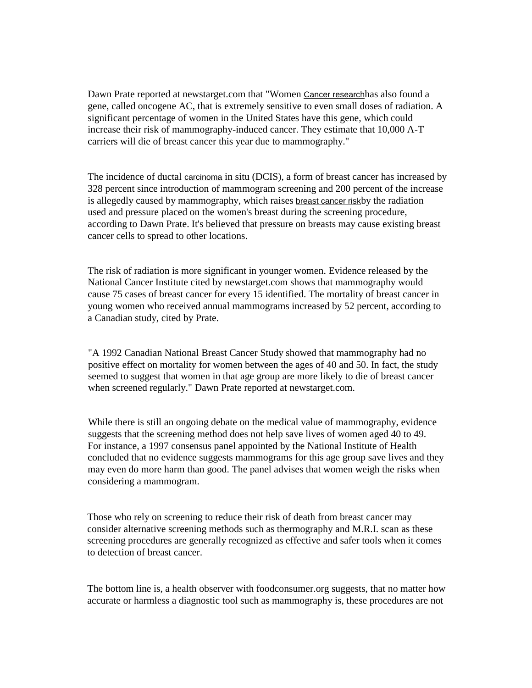Dawn Prate reported at newstarget.com that "Women Cancer researchhas also found a gene, called oncogene AC, that is extremely sensitive to even small doses of radiation. A significant percentage of women in the United States have this gene, which could increase their risk of mammography-induced cancer. They estimate that 10,000 A-T carriers will die of breast cancer this year due to mammography."

The incidence of ductal carcinoma in situ (DCIS), a form of breast cancer has increased by 328 percent since introduction of mammogram screening and 200 percent of the increase is allegedly caused by mammography, which raises **breast cancer risk**by the radiation used and pressure placed on the women's breast during the screening procedure, according to Dawn Prate. It's believed that pressure on breasts may cause existing breast cancer cells to spread to other locations.

The risk of radiation is more significant in younger women. Evidence released by the National Cancer Institute cited by newstarget.com shows that mammography would cause 75 cases of breast cancer for every 15 identified. The mortality of breast cancer in young women who received annual mammograms increased by 52 percent, according to a Canadian study, cited by Prate.

"A 1992 Canadian National Breast Cancer Study showed that mammography had no positive effect on mortality for women between the ages of 40 and 50. In fact, the study seemed to suggest that women in that age group are more likely to die of breast cancer when screened regularly." Dawn Prate reported at newstarget.com.

While there is still an ongoing debate on the medical value of mammography, evidence suggests that the screening method does not help save lives of women aged 40 to 49. For instance, a 1997 consensus panel appointed by the National Institute of Health concluded that no evidence suggests mammograms for this age group save lives and they may even do more harm than good. The panel advises that women weigh the risks when considering a mammogram.

Those who rely on screening to reduce their risk of death from breast cancer may consider alternative screening methods such as thermography and M.R.I. scan as these screening procedures are generally recognized as effective and safer tools when it comes to detection of breast cancer.

The bottom line is, a health observer with foodconsumer.org suggests, that no matter how accurate or harmless a diagnostic tool such as mammography is, these procedures are not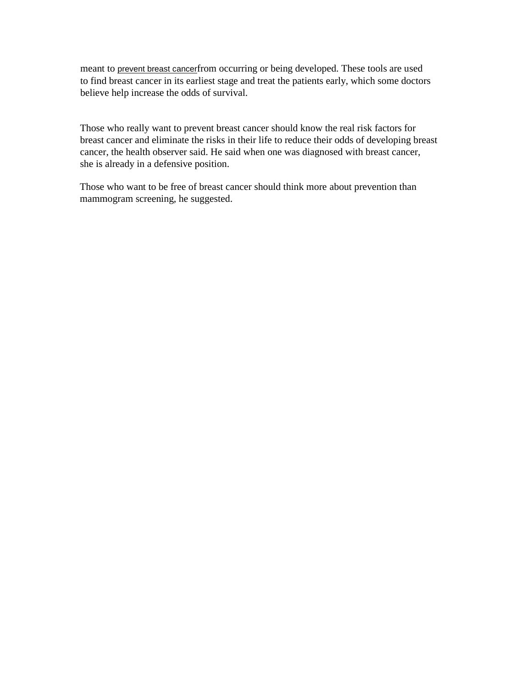meant to prevent breast cancerfrom occurring or being developed. These tools are used to find breast cancer in its earliest stage and treat the patients early, which some doctors believe help increase the odds of survival.

Those who really want to prevent breast cancer should know the real risk factors for breast cancer and eliminate the risks in their life to reduce their odds of developing breast cancer, the health observer said. He said when one was diagnosed with breast cancer, she is already in a defensive position.

Those who want to be free of breast cancer should think more about prevention than mammogram screening, he suggested.